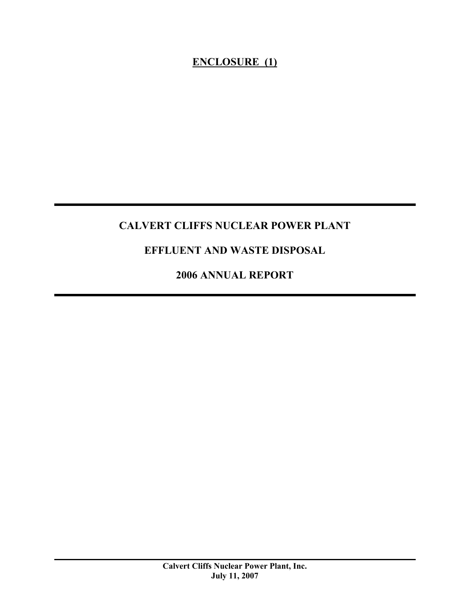### **ENCLOSURE (1)**

### **CALVERT CLIFFS NUCLEAR POWER PLANT**

### **EFFLUENT AND WASTE DISPOSAL**

**2006 ANNUAL REPORT**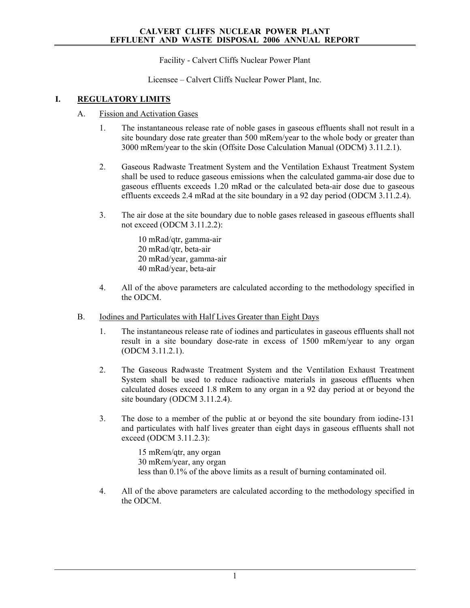Facility - Calvert Cliffs Nuclear Power Plant

Licensee – Calvert Cliffs Nuclear Power Plant, Inc.

### **I. REGULATORY LIMITS**

- A. Fission and Activation Gases
	- 1. The instantaneous release rate of noble gases in gaseous effluents shall not result in a site boundary dose rate greater than 500 mRem/year to the whole body or greater than 3000 mRem/year to the skin (Offsite Dose Calculation Manual (ODCM) 3.11.2.1).
	- 2. Gaseous Radwaste Treatment System and the Ventilation Exhaust Treatment System shall be used to reduce gaseous emissions when the calculated gamma-air dose due to gaseous effluents exceeds 1.20 mRad or the calculated beta-air dose due to gaseous effluents exceeds 2.4 mRad at the site boundary in a 92 day period (ODCM 3.11.2.4).
	- 3. The air dose at the site boundary due to noble gases released in gaseous effluents shall not exceed (ODCM 3.11.2.2):
		- 10 mRad/qtr, gamma-air 20 mRad/qtr, beta-air 20 mRad/year, gamma-air 40 mRad/year, beta-air
	- 4. All of the above parameters are calculated according to the methodology specified in the ODCM.
- B. Iodines and Particulates with Half Lives Greater than Eight Days
	- 1. The instantaneous release rate of iodines and particulates in gaseous effluents shall not result in a site boundary dose-rate in excess of 1500 mRem/year to any organ (ODCM 3.11.2.1).
	- 2. The Gaseous Radwaste Treatment System and the Ventilation Exhaust Treatment System shall be used to reduce radioactive materials in gaseous effluents when calculated doses exceed 1.8 mRem to any organ in a 92 day period at or beyond the site boundary (ODCM 3.11.2.4).
	- 3. The dose to a member of the public at or beyond the site boundary from iodine-131 and particulates with half lives greater than eight days in gaseous effluents shall not exceed (ODCM 3.11.2.3):

15 mRem/qtr, any organ 30 mRem/year, any organ less than 0.1% of the above limits as a result of burning contaminated oil.

4. All of the above parameters are calculated according to the methodology specified in the ODCM.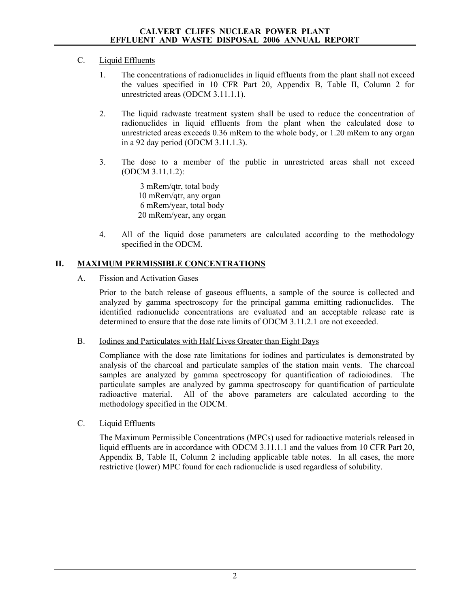### C. Liquid Effluents

- 1. The concentrations of radionuclides in liquid effluents from the plant shall not exceed the values specified in 10 CFR Part 20, Appendix B, Table II, Column 2 for unrestricted areas (ODCM 3.11.1.1).
- 2. The liquid radwaste treatment system shall be used to reduce the concentration of radionuclides in liquid effluents from the plant when the calculated dose to unrestricted areas exceeds 0.36 mRem to the whole body, or 1.20 mRem to any organ in a 92 day period (ODCM 3.11.1.3).
- 3. The dose to a member of the public in unrestricted areas shall not exceed (ODCM 3.11.1.2):

 3 mRem/qtr, total body 10 mRem/qtr, any organ 6 mRem/year, total body 20 mRem/year, any organ

4. All of the liquid dose parameters are calculated according to the methodology specified in the ODCM.

### **II. MAXIMUM PERMISSIBLE CONCENTRATIONS**

A. Fission and Activation Gases

Prior to the batch release of gaseous effluents, a sample of the source is collected and analyzed by gamma spectroscopy for the principal gamma emitting radionuclides. The identified radionuclide concentrations are evaluated and an acceptable release rate is determined to ensure that the dose rate limits of ODCM 3.11.2.1 are not exceeded.

B. Iodines and Particulates with Half Lives Greater than Eight Days

Compliance with the dose rate limitations for iodines and particulates is demonstrated by analysis of the charcoal and particulate samples of the station main vents. The charcoal samples are analyzed by gamma spectroscopy for quantification of radioiodines. The particulate samples are analyzed by gamma spectroscopy for quantification of particulate radioactive material. All of the above parameters are calculated according to the methodology specified in the ODCM.

C. Liquid Effluents

The Maximum Permissible Concentrations (MPCs) used for radioactive materials released in liquid effluents are in accordance with ODCM 3.11.1.1 and the values from 10 CFR Part 20, Appendix B, Table II, Column 2 including applicable table notes. In all cases, the more restrictive (lower) MPC found for each radionuclide is used regardless of solubility.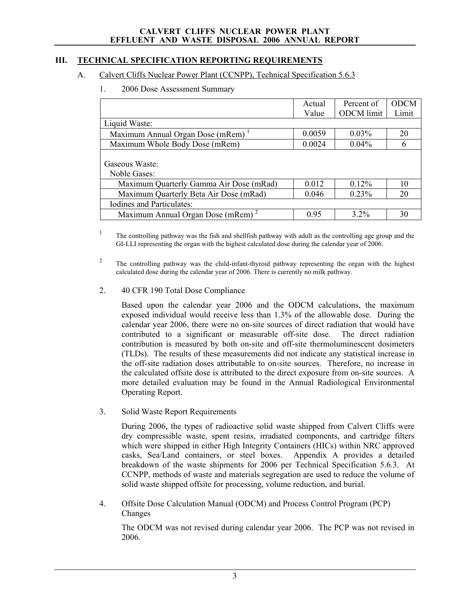### **III. TECHNICAL SPECIFICATION REPORTING REQUIREMENTS**

### A. Calvert Cliffs Nuclear Power Plant (CCNPP), Technical Specification 5.6.3

1. 2006 Dose Assessment Summary

|                                               | Actual | Percent of        | <b>ODCM</b> |
|-----------------------------------------------|--------|-------------------|-------------|
|                                               | Value  | <b>ODCM</b> limit | Limit       |
| Liquid Waste:                                 |        |                   |             |
| Maximum Annual Organ Dose (mRem) <sup>1</sup> | 0.0059 | $0.03\%$          | 20          |
| Maximum Whole Body Dose (mRem)                | 0.0024 | 0.04%             | 6           |
|                                               |        |                   |             |
| Gaseous Waste:                                |        |                   |             |
| Noble Gases:                                  |        |                   |             |
| Maximum Quarterly Gamma Air Dose (mRad)       | 0.012  | $0.12\%$          | 10          |
| Maximum Quarterly Beta Air Dose (mRad)        | 0.046  | 0.23%             | 20          |
| Iodines and Particulates:                     |        |                   |             |
| Maximum Annual Organ Dose (mRem) <sup>2</sup> | 0.95   | 32%               | 30          |

1 The controlling pathway was the fish and shellfish pathway with adult as the controlling age group and the GI-LLI representing the organ with the highest calculated dose during the calendar year of 2006.

2 The controlling pathway was the child-infant-thyroid pathway representing the organ with the highest calculated dose during the calendar year of 2006. There is currently no milk pathway.

### 2. 40 CFR 190 Total Dose Compliance

Based upon the calendar year 2006 and the ODCM calculations, the maximum exposed individual would receive less than 1.3% of the allowable dose. During the calendar year 2006, there were no on-site sources of direct radiation that would have contributed to a significant or measurable off-site dose. The direct radiation contribution is measured by both on-site and off-site thermoluminescent dosimeters (TLDs). The results of these measurements did not indicate any statistical increase in the off-site radiation doses attributable to on-site sources. Therefore, no increase in the calculated offsite dose is attributed to the direct exposure from on-site sources. A more detailed evaluation may be found in the Annual Radiological Environmental Operating Report.

3. Solid Waste Report Requirements

During 2006, the types of radioactive solid waste shipped from Calvert Cliffs were dry compressible waste, spent resins, irradiated components, and cartridge filters which were shipped in either High Integrity Containers (HICs) within NRC approved casks, Sea/Land containers, or steel boxes. Appendix A provides a detailed breakdown of the waste shipments for 2006 per Technical Specification 5.6.3. At CCNPP, methods of waste and materials segregation are used to reduce the volume of solid waste shipped offsite for processing, volume reduction, and burial.

4. Offsite Dose Calculation Manual (ODCM) and Process Control Program (PCP) Changes

The ODCM was not revised during calendar year 2006. The PCP was not revised in 2006.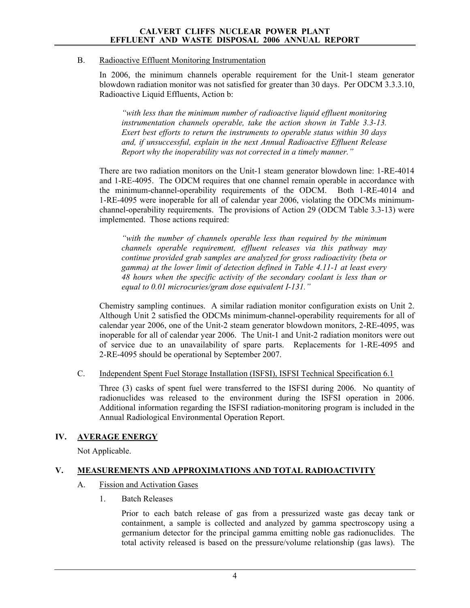### B. Radioactive Effluent Monitoring Instrumentation

In 2006, the minimum channels operable requirement for the Unit-1 steam generator blowdown radiation monitor was not satisfied for greater than 30 days. Per ODCM 3.3.3.10, Radioactive Liquid Effluents, Action b:

*"with less than the minimum number of radioactive liquid effluent monitoring instrumentation channels operable, take the action shown in Table 3.3-13. Exert best efforts to return the instruments to operable status within 30 days and, if unsuccessful, explain in the next Annual Radioactive Effluent Release Report why the inoperability was not corrected in a timely manner."* 

There are two radiation monitors on the Unit-1 steam generator blowdown line: 1-RE-4014 and 1-RE-4095. The ODCM requires that one channel remain operable in accordance with the minimum-channel-operability requirements of the ODCM. Both 1-RE-4014 and 1-RE-4095 were inoperable for all of calendar year 2006, violating the ODCMs minimumchannel-operability requirements. The provisions of Action 29 (ODCM Table 3.3-13) were implemented. Those actions required:

*"with the number of channels operable less than required by the minimum channels operable requirement, effluent releases via this pathway may continue provided grab samples are analyzed for gross radioactivity (beta or gamma) at the lower limit of detection defined in Table 4.11-1 at least every 48 hours when the specific activity of the secondary coolant is less than or equal to 0.01 microcuries/gram dose equivalent I-131."* 

Chemistry sampling continues. A similar radiation monitor configuration exists on Unit 2. Although Unit 2 satisfied the ODCMs minimum-channel-operability requirements for all of calendar year 2006, one of the Unit-2 steam generator blowdown monitors, 2-RE-4095, was inoperable for all of calendar year 2006. The Unit-1 and Unit-2 radiation monitors were out of service due to an unavailability of spare parts. Replacements for 1-RE-4095 and 2-RE-4095 should be operational by September 2007.

C. Independent Spent Fuel Storage Installation (ISFSI), ISFSI Technical Specification 6.1

Three (3) casks of spent fuel were transferred to the ISFSI during 2006. No quantity of radionuclides was released to the environment during the ISFSI operation in 2006. Additional information regarding the ISFSI radiation-monitoring program is included in the Annual Radiological Environmental Operation Report.

### **IV. AVERAGE ENERGY**

Not Applicable.

### **V. MEASUREMENTS AND APPROXIMATIONS AND TOTAL RADIOACTIVITY**

### A. Fission and Activation Gases

1. Batch Releases

Prior to each batch release of gas from a pressurized waste gas decay tank or containment, a sample is collected and analyzed by gamma spectroscopy using a germanium detector for the principal gamma emitting noble gas radionuclides. The total activity released is based on the pressure/volume relationship (gas laws). The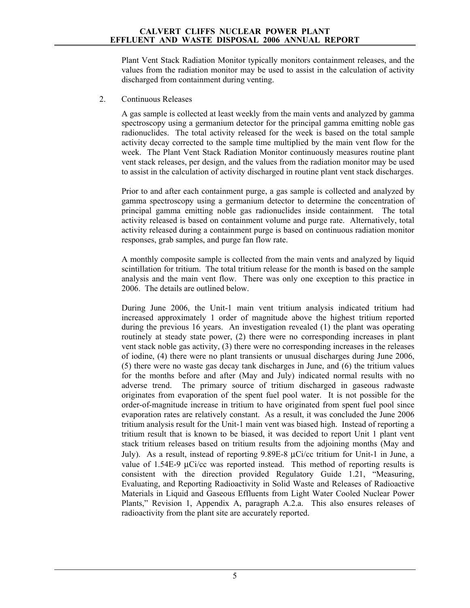Plant Vent Stack Radiation Monitor typically monitors containment releases, and the values from the radiation monitor may be used to assist in the calculation of activity discharged from containment during venting.

2. Continuous Releases

A gas sample is collected at least weekly from the main vents and analyzed by gamma spectroscopy using a germanium detector for the principal gamma emitting noble gas radionuclides. The total activity released for the week is based on the total sample activity decay corrected to the sample time multiplied by the main vent flow for the week. The Plant Vent Stack Radiation Monitor continuously measures routine plant vent stack releases, per design, and the values from the radiation monitor may be used to assist in the calculation of activity discharged in routine plant vent stack discharges.

Prior to and after each containment purge, a gas sample is collected and analyzed by gamma spectroscopy using a germanium detector to determine the concentration of principal gamma emitting noble gas radionuclides inside containment. The total activity released is based on containment volume and purge rate. Alternatively, total activity released during a containment purge is based on continuous radiation monitor responses, grab samples, and purge fan flow rate.

A monthly composite sample is collected from the main vents and analyzed by liquid scintillation for tritium. The total tritium release for the month is based on the sample analysis and the main vent flow. There was only one exception to this practice in 2006. The details are outlined below.

During June 2006, the Unit-1 main vent tritium analysis indicated tritium had increased approximately 1 order of magnitude above the highest tritium reported during the previous 16 years. An investigation revealed (1) the plant was operating routinely at steady state power, (2) there were no corresponding increases in plant vent stack noble gas activity, (3) there were no corresponding increases in the releases of iodine, (4) there were no plant transients or unusual discharges during June 2006, (5) there were no waste gas decay tank discharges in June, and (6) the tritium values for the months before and after (May and July) indicated normal results with no adverse trend. The primary source of tritium discharged in gaseous radwaste originates from evaporation of the spent fuel pool water. It is not possible for the order-of-magnitude increase in tritium to have originated from spent fuel pool since evaporation rates are relatively constant. As a result, it was concluded the June 2006 tritium analysis result for the Unit-1 main vent was biased high. Instead of reporting a tritium result that is known to be biased, it was decided to report Unit 1 plant vent stack tritium releases based on tritium results from the adjoining months (May and July). As a result, instead of reporting 9.89E-8 µCi/cc tritium for Unit-1 in June, a value of 1.54E-9 µCi/cc was reported instead. This method of reporting results is consistent with the direction provided Regulatory Guide 1.21, "Measuring, Evaluating, and Reporting Radioactivity in Solid Waste and Releases of Radioactive Materials in Liquid and Gaseous Effluents from Light Water Cooled Nuclear Power Plants," Revision 1, Appendix A, paragraph A.2.a. This also ensures releases of radioactivity from the plant site are accurately reported.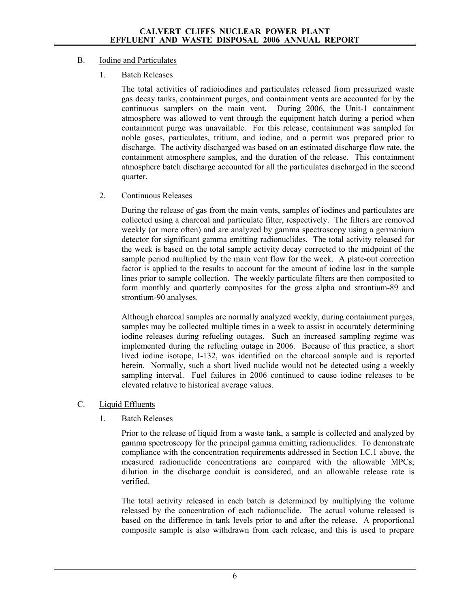### B. Iodine and Particulates

1. Batch Releases

The total activities of radioiodines and particulates released from pressurized waste gas decay tanks, containment purges, and containment vents are accounted for by the continuous samplers on the main vent. During 2006, the Unit-1 containment atmosphere was allowed to vent through the equipment hatch during a period when containment purge was unavailable. For this release, containment was sampled for noble gases, particulates, tritium, and iodine, and a permit was prepared prior to discharge. The activity discharged was based on an estimated discharge flow rate, the containment atmosphere samples, and the duration of the release. This containment atmosphere batch discharge accounted for all the particulates discharged in the second quarter.

2. Continuous Releases

During the release of gas from the main vents, samples of iodines and particulates are collected using a charcoal and particulate filter, respectively. The filters are removed weekly (or more often) and are analyzed by gamma spectroscopy using a germanium detector for significant gamma emitting radionuclides. The total activity released for the week is based on the total sample activity decay corrected to the midpoint of the sample period multiplied by the main vent flow for the week. A plate-out correction factor is applied to the results to account for the amount of iodine lost in the sample lines prior to sample collection. The weekly particulate filters are then composited to form monthly and quarterly composites for the gross alpha and strontium-89 and strontium-90 analyses.

Although charcoal samples are normally analyzed weekly, during containment purges, samples may be collected multiple times in a week to assist in accurately determining iodine releases during refueling outages. Such an increased sampling regime was implemented during the refueling outage in 2006. Because of this practice, a short lived iodine isotope, I-132, was identified on the charcoal sample and is reported herein. Normally, such a short lived nuclide would not be detected using a weekly sampling interval. Fuel failures in 2006 continued to cause iodine releases to be elevated relative to historical average values.

- C. Liquid Effluents
	- 1. Batch Releases

Prior to the release of liquid from a waste tank, a sample is collected and analyzed by gamma spectroscopy for the principal gamma emitting radionuclides. To demonstrate compliance with the concentration requirements addressed in Section I.C.1 above, the measured radionuclide concentrations are compared with the allowable MPCs; dilution in the discharge conduit is considered, and an allowable release rate is verified.

The total activity released in each batch is determined by multiplying the volume released by the concentration of each radionuclide. The actual volume released is based on the difference in tank levels prior to and after the release. A proportional composite sample is also withdrawn from each release, and this is used to prepare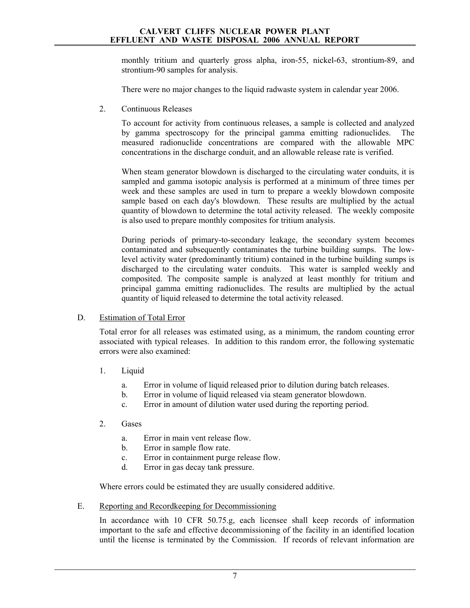monthly tritium and quarterly gross alpha, iron-55, nickel-63, strontium-89, and strontium-90 samples for analysis.

There were no major changes to the liquid radwaste system in calendar year 2006.

2. Continuous Releases

To account for activity from continuous releases, a sample is collected and analyzed by gamma spectroscopy for the principal gamma emitting radionuclides. The measured radionuclide concentrations are compared with the allowable MPC concentrations in the discharge conduit, and an allowable release rate is verified.

When steam generator blowdown is discharged to the circulating water conduits, it is sampled and gamma isotopic analysis is performed at a minimum of three times per week and these samples are used in turn to prepare a weekly blowdown composite sample based on each day's blowdown. These results are multiplied by the actual quantity of blowdown to determine the total activity released. The weekly composite is also used to prepare monthly composites for tritium analysis.

During periods of primary-to-secondary leakage, the secondary system becomes contaminated and subsequently contaminates the turbine building sumps. The lowlevel activity water (predominantly tritium) contained in the turbine building sumps is discharged to the circulating water conduits. This water is sampled weekly and composited. The composite sample is analyzed at least monthly for tritium and principal gamma emitting radionuclides. The results are multiplied by the actual quantity of liquid released to determine the total activity released.

### D. Estimation of Total Error

Total error for all releases was estimated using, as a minimum, the random counting error associated with typical releases. In addition to this random error, the following systematic errors were also examined:

- 1. Liquid
	- a. Error in volume of liquid released prior to dilution during batch releases.
	- b. Error in volume of liquid released via steam generator blowdown.
	- c. Error in amount of dilution water used during the reporting period.
- 2. Gases
	- a. Error in main vent release flow.
	- b. Error in sample flow rate.
	- c. Error in containment purge release flow.
	- d. Error in gas decay tank pressure.

Where errors could be estimated they are usually considered additive.

E. Reporting and Recordkeeping for Decommissioning

In accordance with 10 CFR 50.75.g, each licensee shall keep records of information important to the safe and effective decommissioning of the facility in an identified location until the license is terminated by the Commission. If records of relevant information are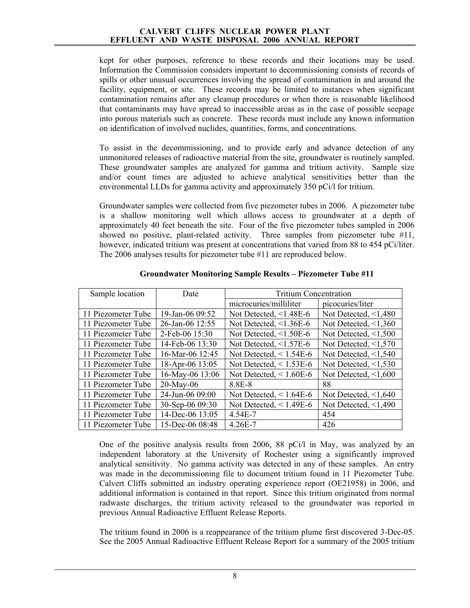kept for other purposes, reference to these records and their locations may be used. Information the Commission considers important to decommissioning consists of records of spills or other unusual occurrences involving the spread of contamination in and around the facility, equipment, or site. These records may be limited to instances when significant contamination remains after any cleanup procedures or when there is reasonable likelihood that contaminants may have spread to inaccessible areas as in the case of possible seepage into porous materials such as concrete. These records must include any known information on identification of involved nuclides, quantities, forms, and concentrations.

To assist in the decommissioning, and to provide early and advance detection of any unmonitored releases of radioactive material from the site, groundwater is routinely sampled. These groundwater samples are analyzed for gamma and tritium activity. Sample size and/or count times are adjusted to achieve analytical sensitivities better than the environmental LLDs for gamma activity and approximately 350 pCi/l for tritium.

Groundwater samples were collected from five piezometer tubes in 2006. A piezometer tube is a shallow monitoring well which allows access to groundwater at a depth of approximately 40 feet beneath the site. Four of the five piezometer tubes sampled in 2006 showed no positive, plant-related activity. Three samples from piezometer tube #11, however, indicated tritium was present at concentrations that varied from 88 to 454 pCi/liter. The 2006 analyses results for piezometer tube #11 are reproduced below.

| Sample location    | Date              | <b>Tritium Concentration</b> |                            |
|--------------------|-------------------|------------------------------|----------------------------|
|                    |                   | microcuries/milliliter       | picocuries/liter           |
| 11 Piezometer Tube | 19-Jan-06 $09:52$ | Not Detected, $\leq$ 1.48E-6 | Not Detected, $\leq 1,480$ |
| 11 Piezometer Tube | 26-Jan-06 12:55   | Not Detected, $\leq$ 1.36E-6 | Not Detected, $\leq 1,360$ |
| 11 Piezometer Tube | 2-Feb-06 15:30    | Not Detected, $\leq$ 1.50E-6 | Not Detected, $\leq 1,500$ |
| 11 Piezometer Tube | 14-Feb-06 13:30   | Not Detected, $\leq$ 1.57E-6 | Not Detected, $\leq 1,570$ |
| 11 Piezometer Tube | 16-Mar-06 12:45   | Not Detected, $\leq$ 1.54E-6 | Not Detected, $\leq 1,540$ |
| 11 Piezometer Tube | 18-Apr-06 13:05   | Not Detected, $\leq 1.53E-6$ | Not Detected, $\leq 1,530$ |
| 11 Piezometer Tube | 16-May-06 13:06   | Not Detected, $\leq 1.60E-6$ | Not Detected, $\leq 1,600$ |
| 11 Piezometer Tube | $20$ -May-06      | 8.8E-8                       | 88                         |
| 11 Piezometer Tube | 24-Jun-06 09:00   | Not Detected, $\leq 1.64E-6$ | Not Detected, $\leq 1,640$ |
| 11 Piezometer Tube | 30-Sep-06 09:30   | Not Detected, $\leq$ 1.49E-6 | Not Detected, $\leq 1,490$ |
| 11 Piezometer Tube | 14-Dec-06 13:05   | 4.54E-7                      | 454                        |
| 11 Piezometer Tube | 15-Dec-06 08:48   | $4.26E - 7$                  | 426                        |

**Groundwater Monitoring Sample Results – Piezometer Tube #11** 

One of the positive analysis results from 2006, 88 pCi/l in May, was analyzed by an independent laboratory at the University of Rochester using a significantly improved analytical sensitivity. No gamma activity was detected in any of these samples. An entry was made in the decommissioning file to document tritium found in 11 Piezometer Tube. Calvert Cliffs submitted an industry operating experience report (OE21958) in 2006, and additional information is contained in that report. Since this tritium originated from normal radwaste discharges, the tritium activity released to the groundwater was reported in previous Annual Radioactive Effluent Release Reports.

The tritium found in 2006 is a reappearance of the tritium plume first discovered 3-Dec-05. See the 2005 Annual Radioactive Effluent Release Report for a summary of the 2005 tritium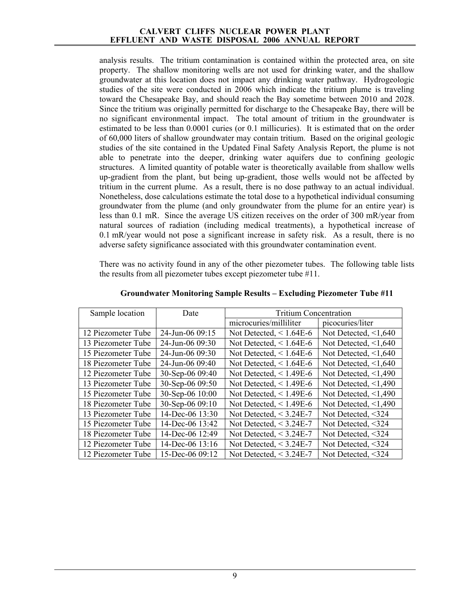analysis results. The tritium contamination is contained within the protected area, on site property. The shallow monitoring wells are not used for drinking water, and the shallow groundwater at this location does not impact any drinking water pathway. Hydrogeologic studies of the site were conducted in 2006 which indicate the tritium plume is traveling toward the Chesapeake Bay, and should reach the Bay sometime between 2010 and 2028. Since the tritium was originally permitted for discharge to the Chesapeake Bay, there will be no significant environmental impact. The total amount of tritium in the groundwater is estimated to be less than 0.0001 curies (or 0.1 millicuries). It is estimated that on the order of 60,000 liters of shallow groundwater may contain tritium. Based on the original geologic studies of the site contained in the Updated Final Safety Analysis Report, the plume is not able to penetrate into the deeper, drinking water aquifers due to confining geologic structures. A limited quantity of potable water is theoretically available from shallow wells up-gradient from the plant, but being up-gradient, those wells would not be affected by tritium in the current plume. As a result, there is no dose pathway to an actual individual. Nonetheless, dose calculations estimate the total dose to a hypothetical individual consuming groundwater from the plume (and only groundwater from the plume for an entire year) is less than 0.1 mR. Since the average US citizen receives on the order of 300 mR/year from natural sources of radiation (including medical treatments), a hypothetical increase of 0.1 mR/year would not pose a significant increase in safety risk. As a result, there is no adverse safety significance associated with this groundwater contamination event.

There was no activity found in any of the other piezometer tubes. The following table lists the results from all piezometer tubes except piezometer tube #11.

| Sample location    | Date               | <b>Tritium Concentration</b> |                            |
|--------------------|--------------------|------------------------------|----------------------------|
|                    |                    | microcuries/milliliter       | picocuries/liter           |
| 12 Piezometer Tube | $24$ -Jun-06 09:15 | Not Detected, $\leq 1.64E-6$ | Not Detected, $\leq 1,640$ |
| 13 Piezometer Tube | 24-Jun-06 09:30    | Not Detected, $\leq 1.64E-6$ | Not Detected, $\leq 1,640$ |
| 15 Piezometer Tube | 24-Jun-06 09:30    | Not Detected, $\leq 1.64E-6$ | Not Detected, $\leq 1,640$ |
| 18 Piezometer Tube | 24-Jun-06 09:40    | Not Detected, $\leq 1.64E-6$ | Not Detected, $\leq 1,640$ |
| 12 Piezometer Tube | 30-Sep-06 09:40    | Not Detected, $\leq$ 1.49E-6 | Not Detected, $\leq 1,490$ |
| 13 Piezometer Tube | 30-Sep-06 09:50    | Not Detected, $\leq$ 1.49E-6 | Not Detected, $\leq 1,490$ |
| 15 Piezometer Tube | 30-Sep-06 10:00    | Not Detected, $\leq$ 1.49E-6 | Not Detected, $\leq 1,490$ |
| 18 Piezometer Tube | 30-Sep-06 09:10    | Not Detected, $\leq$ 1.49E-6 | Not Detected, $\leq 1,490$ |
| 13 Piezometer Tube | 14-Dec-06 13:30    | Not Detected, $<$ 3.24E-7    | Not Detected, <324         |
| 15 Piezometer Tube | 14-Dec-06 $13:42$  | Not Detected, $<$ 3.24E-7    | Not Detected, <324         |
| 18 Piezometer Tube | 14-Dec-06 12:49    | Not Detected, $<$ 3.24E-7    | Not Detected, <324         |
| 12 Piezometer Tube | 14-Dec-06 13:16    | Not Detected, $<$ 3.24E-7    | Not Detected, <324         |
| 12 Piezometer Tube | 15-Dec-06 $09:12$  | Not Detected, $<$ 3.24E-7    | Not Detected, <324         |

**Groundwater Monitoring Sample Results – Excluding Piezometer Tube #11**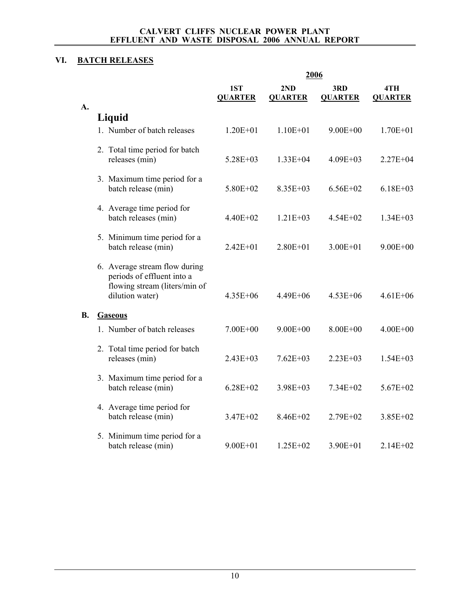### **VI. BATCH RELEASES**

|           |                                                                                                                 |                       | 2006                  |                       |                       |
|-----------|-----------------------------------------------------------------------------------------------------------------|-----------------------|-----------------------|-----------------------|-----------------------|
| A.        |                                                                                                                 | 1ST<br><b>QUARTER</b> | 2ND<br><b>QUARTER</b> | 3RD<br><b>QUARTER</b> | 4TH<br><b>QUARTER</b> |
|           | Liquid                                                                                                          |                       |                       |                       |                       |
|           | 1. Number of batch releases                                                                                     | $1.20E + 01$          | $1.10E + 01$          | $9.00E + 00$          | $1.70E + 01$          |
|           | 2. Total time period for batch<br>releases (min)                                                                | $5.28E + 03$          | $1.33E + 04$          | $4.09E + 03$          | $2.27E + 04$          |
|           | 3. Maximum time period for a<br>batch release (min)                                                             | 5.80E+02              | $8.35E + 03$          | $6.56E + 02$          | $6.18E + 03$          |
|           | 4. Average time period for<br>batch releases (min)                                                              | 4.40E+02              | $1.21E + 03$          | $4.54E + 02$          | $1.34E + 03$          |
|           | 5. Minimum time period for a<br>batch release (min)                                                             | $2.42E + 01$          | $2.80E + 01$          | $3.00E + 01$          | $9.00E + 00$          |
|           | 6. Average stream flow during<br>periods of effluent into a<br>flowing stream (liters/min of<br>dilution water) | $4.35E + 06$          | $4.49E + 06$          | $4.53E + 06$          | $4.61E + 06$          |
| <b>B.</b> | <b>Gaseous</b>                                                                                                  |                       |                       |                       |                       |
|           | 1. Number of batch releases                                                                                     | $7.00E + 00$          | $9.00E + 00$          | $8.00E + 00$          | $4.00E + 00$          |
|           | 2. Total time period for batch<br>releases (min)                                                                | $2.43E + 03$          | $7.62E + 03$          | $2.23E + 03$          | $1.54E + 03$          |
|           | 3. Maximum time period for a<br>batch release (min)                                                             | $6.28E + 02$          | $3.98E + 03$          | 7.34E+02              | $5.67E + 02$          |
|           | 4. Average time period for<br>batch release (min)                                                               | 3.47E+02              | 8.46E+02              | 2.79E+02              | 3.85E+02              |
|           | 5. Minimum time period for a<br>batch release (min)                                                             | $9.00E + 01$          | $1.25E + 02$          | $3.90E + 01$          | $2.14E + 02$          |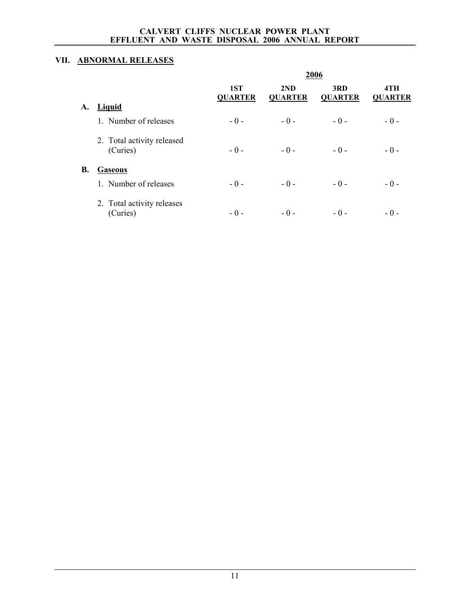### **VII. ABNORMAL RELEASES**

|           |                                        |                       |                       | 2006                  |                       |
|-----------|----------------------------------------|-----------------------|-----------------------|-----------------------|-----------------------|
|           |                                        | 1ST<br><b>QUARTER</b> | 2ND<br><b>QUARTER</b> | 3RD<br><b>QUARTER</b> | 4TH<br><b>QUARTER</b> |
| A.        | Liquid                                 |                       |                       |                       |                       |
|           | 1. Number of releases                  | $-0-$                 | $-0-$                 | $-0-$                 | $-0-$                 |
|           | 2. Total activity released<br>(Curies) | $-0-$                 | $-0-$                 | $-0-$                 | $-0-$                 |
| <b>B.</b> | <b>Gaseous</b>                         |                       |                       |                       |                       |
|           | 1. Number of releases                  | $-0-$                 | $-0-$                 | $-0-$                 | $-0-$                 |
|           | 2. Total activity releases<br>(Curies) | $-0-$                 | $-0-$                 | $-0-$                 | $-0-$                 |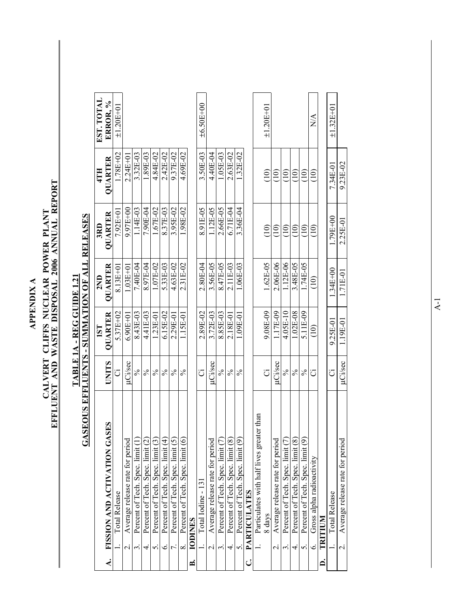**APPENDIX A APPENDIX A** 

# CALVERT CLIFFS NUCLEAR POWER PLANT<br>EFFLUENT AND WASTE DISPOSAL 2006 ANNUAL REPORT **EFFLUENT AND WASTE DISPOSAL 2006 ANNUAL REPORT CALVERT CLIFFS NUCLEAR POWER PLANT**

### **GASEOUS EFFLUENTS - SUMMATION OF ALL RELEASES GASEOUS EFFLUENTS - SUMMATION OF ALL RELEASES** TABLE 1A - REG GUIDE 1.21 **TABLE 1A - REG GUIDE 1.21**

|                  | UINIU VUU LIITTUU LIIV                                      |                | <b>NUTTINIA LIVE</b>                           |                | <b>THE REPORT OF STRAIGHTS</b> |                   |                         |
|------------------|-------------------------------------------------------------|----------------|------------------------------------------------|----------------|--------------------------------|-------------------|-------------------------|
|                  |                                                             |                | 1ST                                            | 2ND            | 3RD                            | 4TH               | EST. TOTAL              |
| $\blacktriangle$ | SES<br>FISSION AND ACTIVATION GA                            | <b>UNITS</b>   | <b>OUARTER</b>                                 | <b>OUARTER</b> | <b>OUARTER</b>                 | <b>QUARTER</b>    | ERROR. %                |
|                  | <b>Total Release</b>                                        | ن              | $5.37E+02$                                     | 8.13E+01       | $7.92E + 0$                    | 1.78E+02          | $±1.20E+01$             |
|                  | Average release rate for period<br>$\overline{\mathcal{N}}$ | <b>µCi/sec</b> | $6.90E + 01$                                   | $1.03E + 01$   | 9.97E+00                       | $2.24E + 0$       |                         |
|                  | Percent of Tech. Spec. limit (1)<br>$\dot{\epsilon}$        | $\frac{5}{6}$  | 8.43E-03                                       | 7.40E-04       | 1.14E-03                       | 3.32E-03          |                         |
|                  | Percent of Tech. Spec. limit (2)<br>4.                      | $\frac{6}{6}$  | 4.41E-03                                       | 8.97E-04       | 7.90E-04                       | 1.89E-03          |                         |
|                  | Percent of Tech. Spec. limit (3)<br>$\Omega$                | $\frac{5}{6}$  | $1.23E-01$                                     | 1.07E-02       | $.67E-02$                      | 4.84E-02          |                         |
|                  | Percent of Tech. Spec. limit (4)<br>نی                      | $\frac{1}{2}$  | 6.15E-02                                       | 5.33E-03       | 8.37E-03                       | 2.42E-02          |                         |
|                  | Percent of Tech. Spec. limit (5)                            | $\%$           | 2.29E-01                                       | 4.63E-02       | 3.95E-02                       | 9.37E-02          |                         |
|                  | Percent of Tech. Spec. limit (6)<br>$\infty$                | $\frac{5}{6}$  | $1.15E-01$                                     | $2.31E-02$     | 1.98E-02                       | 4.69E-02          |                         |
| Ä                | <b>IODINES</b>                                              |                |                                                |                |                                |                   |                         |
|                  | Total Iodine - 131                                          | ت              | 2.89E-02                                       | 2.80E-04       | 8.91E-05                       | 3.50E-03          | $±6.50E+00$             |
|                  | Average release rate for period<br>$\overline{\mathcal{N}}$ | <b>µCi/sec</b> | 3.72E-03                                       | 3.56E-05       | 1.12E-05                       | 4.40E-04          |                         |
|                  | Percent of Tech. Spec. limit (7)<br>.<br>ო                  | $\%$           | 8.85E-03                                       | 8.47E-05       | 2.66E-05                       | 1.05E-03          |                         |
|                  | Percent of Tech. Spec. limit (8)<br>$\overline{4}$          | $\%$           | 2.18E-01                                       | 2.11E-03       | 6.71E-04                       | 2.63E-02          |                         |
|                  | Percent of Tech. Spec. limit (9)<br>5.                      | $\%$           | 1.09E-01                                       | 1.06E-03       | 3.36E-04                       | 1.32E-02          |                         |
| ن                | <b>PARTICULATES</b>                                         |                |                                                |                |                                |                   |                         |
|                  | Particulates with half lives greater than                   |                |                                                |                |                                |                   |                         |
|                  | 8 days                                                      | Ö              | 9.08E-09                                       | $1.62E-05$     | $\left(10\right)$              | $\left(10\right)$ | $±1.20E+01$             |
|                  | Average release rate for period<br>$\dot{\sim}$             | uCi/sec        | 1.17E-09                                       | $2.06E-06$     | $\widehat{=}$                  | (10)              |                         |
|                  | Percent of Tech. Spec. limit (7)                            | $\frac{5}{6}$  | 4.05E-10                                       | 1.12E-06       | (10)                           | (10)              |                         |
|                  | Percent of Tech. Spec. limit (8)<br>4.                      | $\frac{5}{6}$  | 1.02E-08                                       | 3.48E-05       | (10)                           | (10)              |                         |
|                  | Percent of Tech. Spec. limit (9)<br>S.                      | $\frac{5}{6}$  | 5.11E-09                                       | 1.74E-05       | (10)                           | (10)              |                         |
|                  | Gross alpha radioactivity<br>6.                             | ت              | $\begin{pmatrix} 1 & 0 \\ 0 & 0 \end{pmatrix}$ | $\widehat{=}$  | $\frac{1}{2}$                  | $\frac{1}{2}$     | $\mathbb{N} \mathbb{A}$ |
| <b>A</b>         | TRITIUM                                                     |                |                                                |                |                                |                   |                         |
|                  | <b>Total Release</b>                                        | Ö              | 9.25E-01                                       | $1.34E + 00$   | 1.79E+00                       | 7.34E-01          | $±1.32E+01$             |
|                  | Average release rate for period<br>$\overline{a}$           | µCi/sec        | 1.19E-01                                       | 1.71E-01       | $2.25E-01$                     | $9.23E-02$        |                         |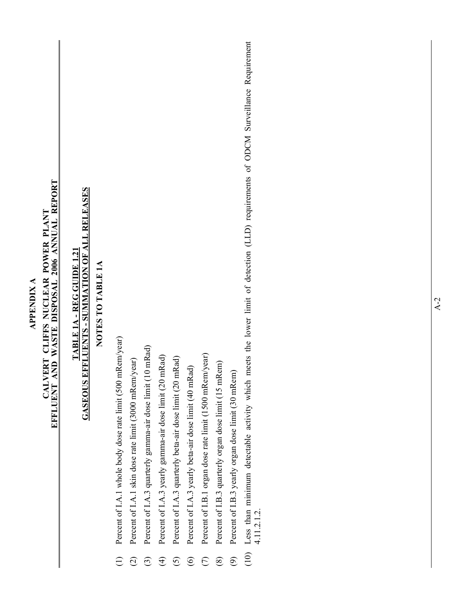| CALVERT CLIFFS NUCLEAR POWER PLANT<br>EFFLUENT AND WASTE DISPOSAL 2006 ANNUAL REPORT | <b>GASEOUS EFFLUENTS - SUMMATION OF ALL RELEASES</b><br><b>TABLE 1A - REG GUIDE 1.21</b> | NOTES TO TABLE 1A | Percent of I.A.1 whole body dose rate limit (500 mRem/year) | Percent of I.A.1 skin dose rate limit (3000 mRem/year)<br>$\widehat{\Omega}$ | Percent of I.A.3 quarterly gamma-air dose limit (10 mRad)<br>$\widehat{\mathfrak{S}}$ | Percent of I.A.3 yearly gamma-air dose limit (20 mRad)<br>$\widehat{H}$ | Percent of I.A.3 quarterly beta-air dose limit (20 mRad)<br>$\overline{6}$ | Percent of I.A.3 yearly beta-air dose limit (40 mRad)<br>$\widehat{\odot}$ | Percent of I.B.1 organ dose rate limit (1500 mRem/year) | Percent of I.B.3 quarterly organ dose limit (15 mRem)<br>$\circledS$ | Percent of I.B.3 yearly organ dose limit (30 mRem)<br>$\widehat{\mathfrak{S}}$ | Less than minimum detectable activity which meets the lower limit of detection (LLD) requirements of ODCM Surveillance Requirement 4.11.2.1.2.<br>(10) |  |  |  |
|--------------------------------------------------------------------------------------|------------------------------------------------------------------------------------------|-------------------|-------------------------------------------------------------|------------------------------------------------------------------------------|---------------------------------------------------------------------------------------|-------------------------------------------------------------------------|----------------------------------------------------------------------------|----------------------------------------------------------------------------|---------------------------------------------------------|----------------------------------------------------------------------|--------------------------------------------------------------------------------|--------------------------------------------------------------------------------------------------------------------------------------------------------|--|--|--|
|--------------------------------------------------------------------------------------|------------------------------------------------------------------------------------------|-------------------|-------------------------------------------------------------|------------------------------------------------------------------------------|---------------------------------------------------------------------------------------|-------------------------------------------------------------------------|----------------------------------------------------------------------------|----------------------------------------------------------------------------|---------------------------------------------------------|----------------------------------------------------------------------|--------------------------------------------------------------------------------|--------------------------------------------------------------------------------------------------------------------------------------------------------|--|--|--|

**APPENDIX A CALVERT CLIFFS NUCLEAR POWER PLANT** 

**APPENDIX A**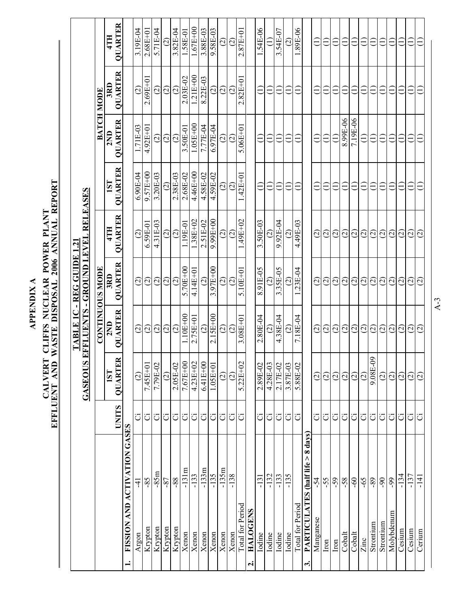|                                                 |              | <b>GASEOUS</b>            | EFFLUENTS - GROUND LEVEL RELEASES<br>TABLE 1C | -REGGUIDE             | بغ                      |                          |                       |                       |                       |
|-------------------------------------------------|--------------|---------------------------|-----------------------------------------------|-----------------------|-------------------------|--------------------------|-----------------------|-----------------------|-----------------------|
|                                                 |              |                           | <b>CONTINUOUS MODE</b>                        |                       |                         |                          |                       | BATCH MODE            |                       |
|                                                 | <b>UNITS</b> | ≃<br><b>OUARTE</b><br>1ST | <b>QUARTER</b><br>2ND                         | <b>QUARTER</b><br>3RD | <b>QUARTER</b><br>4TH   | <b>OUARTER</b><br>1ST    | <b>QUARTER</b><br>2ND | <b>QUARTER</b><br>3RD | <b>QUARTER</b><br>4TH |
| FISSION AND ACTIVATION GASES<br>$\div$          |              |                           |                                               |                       |                         |                          |                       |                       |                       |
| 1<br>Argon                                      | Ö            | $\widehat{c}$             | $\widehat{\varrho}$                           | $\odot$               | $\widehat{\mathcal{Q}}$ | $6.90E-04$               | 1.71E-03              | $\odot$               | 3.19E-04              |
| $-85$<br>Krypton                                | ö            | 7.45E+01                  | $\widehat{\omega}$                            | $\widehat{\varpi}$    | 6.59E-01                | $9.57E + 00$             | $4.92E+01$            | $2.69E + 01$          | $2.68E + 01$          |
| $-85m$<br>Krypton                               | ö            | 7.79E-02                  | $\odot$                                       | $\widehat{\varpi}$    | 4.31E-03                | 3.20E-03                 | $\widehat{\circ}$     | ତ୍ର                   | 5.71E-04              |
| $-87$<br>Krypton                                | Ö            | $\widehat{c}$             | $\widehat{\varrho}$                           | $\widehat{\varrho}$   | $\widehat{\infty}$      | $\widehat{c}$            | $\widehat{\circ}$     | $\widehat{\circ}$     | $\widehat{c}$         |
| $88 -$<br>Krypton                               | Ö            | 2.05E-02                  | $\widehat{\varrho}$                           | $\widehat{\omega}$    | $\odot$                 | 2.38E-03                 | $\widehat{\omega}$    | $\widehat{\varrho}$   | 3.82E-04              |
| $-131m$<br>Xenon                                | Ö            | $7.67E + 00$              | $.10E+00$                                     | 5.70E+00              | 1.19E-01                | 2.68E-02                 | 3.50E-01              | $2.03E-02$            | 1.58E-01              |
| $-133$<br>Xenon                                 | ö            | $4.23E + 02$              | $2.75E + 01$                                  | $4.14E + 0$           | $1.38E + 02$            | 4.46E+00                 | $1.05E + 00$          | $1.21E + 00$          | $1.67E+00$            |
| $-133m$<br>Xenon                                | Ö            | $6.41E + 00$              | $\widehat{\circ}$                             | $\widehat{\infty}$    | 2.51E-02                | 4.58E-02                 | 7.77E-04              | 8.22E-03              | 3.88E-03              |
| $-135$<br>Xenon                                 | ö            | $1.05E + 01$              | $2.15E + 00$                                  | 3.97E+00              | $9.99E + 00$            | 4.59E-02                 | $6.97E-04$            | $\odot$               | 9.58E-03              |
| $-135m$<br>Xenon                                | Ö            | $\widehat{\infty}$        | $\widehat{\circ}$                             | $\widehat{\circ}$     | $\widehat{\circ}$       | $\widehat{\infty}$       | $\widehat{\circ}$     | $\odot$               | $\widehat{\circ}$     |
| $-138$<br>Xenon                                 | ö            | $\widehat{\Omega}$        | $\widehat{\Omega}$                            | $\widehat{\Omega}$    | $\widehat{\varrho}$     | $\widehat{\Omega}$       | $\widehat{\circ}$     | ପି                    | $\widehat{c}$         |
| Total for Period                                | ö            | $5.22E + 02$              | $3.08E + 01$                                  | $5.10E+01$            | $49E+02$                | 42E+01                   | $5.06E + 01$          | $2.82E + 0$           | $2.87E + 0$           |
| <b>HALOGENS</b><br>$\mathbf{a}$                 |              |                           |                                               |                       |                         |                          |                       |                       |                       |
| $-131$<br>Iodine                                | ö            | 2.89E-02                  | 2.80E-04                                      | 8.91E-05              | 3.50E-03                | Ξ                        | Ξ                     | Ξ                     | 54E-06                |
| $-132$<br>Iodine                                | ö            | 4.28E-03                  | $\widehat{\mathcal{C}}$                       | $\widehat{\Omega}$    | $\widetilde{\Omega}$    | Ë                        | €                     | Ë                     |                       |
| $-133$<br>Iodine                                | Ö            | 2.17E-02                  | 4.38E-04                                      | 3.35E-05              | 9.92E-04                | €                        | Ξ                     | €                     | 3.54E-07              |
| $-135$<br>Iodine                                | Ö            | 3.87E-03                  | $\widehat{\Omega}$                            | $\widehat{c}$         | $\widehat{\circ}$       | Ξ                        | €                     | ∈                     | $\widehat{c}$         |
| Total for Period                                | ö            | 5.88E-02                  | 7.18E-04                                      | $.23E-04$             | 4.49E-03                | $\widehat{\Xi}$          | Ξ                     | Ξ                     | .89E-06               |
| PARTICULATES (half life > 8 days)<br>$\ddot{ }$ |              |                           |                                               |                       |                         |                          |                       |                       |                       |
| $-54$<br>Manganese                              | ö            | $\odot$                   | $\widehat{\Omega}$                            | $\widehat{\Omega}$    | $\widehat{\infty}$      | $\widehat{\Xi}$          | Э                     | Э                     | $\widehat{\Xi}$       |
| $-55$<br>$\mathop{\rm Iron}$                    | ö            | $\widehat{\Omega}$        | $\widehat{\omega}$                            | $\widehat{\Omega}$    | $\widehat{\mathcal{C}}$ | $\ominus$                | ∈                     | ∈                     | $\widehat{\Xi}$       |
| $-59$<br>$_{\text{iron}}$                       | ö            | $\widehat{\varrho}$       | $\widehat{\varrho}$                           | $\widehat{\varrho}$   | $\widehat{\mathcal{C}}$ | $\widehat{\Xi}$          | €                     | $\widehat{\Xi}$       | $\widehat{\Xi}$       |
| $-58$<br>Cobalt                                 | Ö            | $\widehat{\circ}$         | $\widehat{\varphi}$                           | $\widehat{\varrho}$   | $\widehat{\mathcal{C}}$ | Ξ                        | 8.99E-06              | Ξ                     | Ξ                     |
| $60 -$<br>Cobalt                                | Ö            | $\widehat{\varpropto}$    | $\odot$                                       | $\odot$               | $\widehat{\varrho}$     | Ξ                        | 7.19E-06              | Ξ                     | Ξ                     |
| $-65$<br>Zinc                                   | ö            | $\odot$                   | $\odot$                                       | $\odot$               | $\odot$                 | Ξ                        | $\widehat{\Xi}$       | Ξ                     | €                     |
| $-89$<br>Strontium                              | Ö            | 9.08E-09                  | $\odot$                                       | $\odot$               | $\odot$                 | $\ominus$                | Ξ                     | Ξ                     | Ξ                     |
| $6^{\circ}$<br>Strontium                        | Ö            | $\odot$                   | $\odot$                                       | $\odot$               | $\odot$                 | Ξ                        | Ξ                     | Ξ                     | $\widehat{\equiv}$    |
| 99<br>Molybdenum                                | ö            | $\widehat{\Omega}$        | $\odot$                                       | $\odot$               | $\odot$                 | €                        | Ξ                     | €                     | €                     |
| $-134$<br>Cesium                                | じに           | $\odot$                   | $\widehat{\varrho}$                           | $\widetilde{c}$       | (2)                     | $\overline{\phantom{0}}$ | Ξ                     | €                     | €                     |
| $-137$<br>Cesium                                |              | $\odot$                   | $\widehat{\varpi}$                            | $\widehat{\omega}$    | $\overline{c}$          | Ë                        | €                     | €                     | €                     |
| $-141$<br>Cerium                                | Ö            | $\widehat{\infty}$        | $\widehat{\Omega}$                            | $\widetilde{\omega}$  | $\widetilde{\omega}$    | Ξ                        | €                     | €                     | €                     |

A-3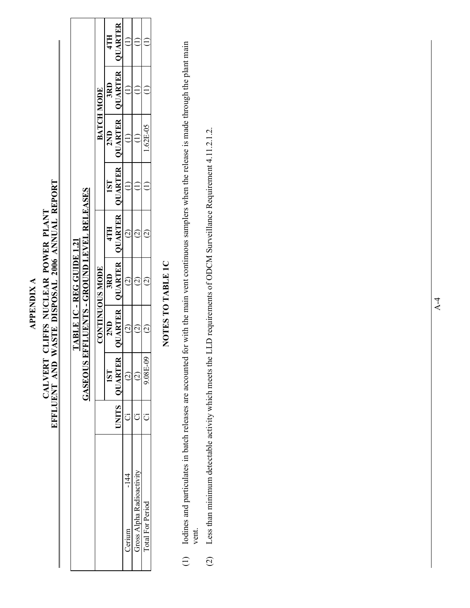### **APPENDIX A APPENDIX A**

# CALVERT CLIFFS NUCLEAR POWER PLANT<br>EFFLUENT AND WASTE DISPOSAL 2006 ANNUAL REPORT **EFFLUENT AND WASTE DISPOSAL 2006 ANNUAL REPORT CALVERT CLIFFS NUCLEAR POWER PLANT**

|                          |                     |     | TABLE 1C - REG GUIDE 1.21                      |     |                 |                   |                   |     |
|--------------------------|---------------------|-----|------------------------------------------------|-----|-----------------|-------------------|-------------------|-----|
|                          | GASEOUS             |     | EFFLUENTS - GROUND LEVEL RELEASES              |     |                 |                   |                   |     |
|                          |                     |     | <b>CONTINUOUS MODE</b>                         |     |                 | <b>BATCH MODE</b> |                   |     |
|                          | 1ST                 | 2ND | 3RD                                            | 4TH | 1S <sub>T</sub> | 2ND               | 3RD               | 4TH |
|                          | <b>INITS QUARTE</b> |     | UARTER   QUARTER   QUARTER   QUARTER   QUARTER |     |                 |                   | QUARTER   QUARTER |     |
| $-144$<br>Cerium         |                     |     |                                                |     |                 |                   |                   |     |
| Gross Alpha Radioactivit |                     |     |                                                |     |                 |                   |                   |     |
| <b>Cotal For Period</b>  | $0 - 180$           | ŗ   |                                                |     |                 | $1.62E - 05$      |                   |     |

### **NOTES TO TABLE 1C**  NOTES TO TABLE 1C

- Iodines and particulates in batch releases are accounted for with the main vent continuous samplers when the release is made through the plant main (1) Iodines and particulates in batch releases are accounted for with the main vent continuous samplers when the release is made through the plant main vent.  $\bigoplus$
- (2) Less than minimum detectable activity which meets the LLD requirements of ODCM Surveillance Requirement 4.11.2.1.2. Less than minimum detectable activity which meets the LLD requirements of ODCM Surveillance Requirement 4.11.2.1.2.  $\overline{c}$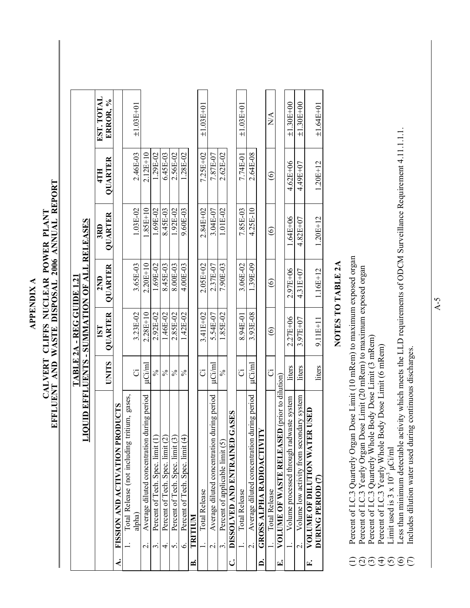**APPENDIX A APPENDIX A** 

# **EFFLUENT AND WASTE DISPOSAL 2006 ANNUAL REPORT**  CALVERT CLIFFS NUCLEAR POWER PLANT<br>EFFLUENT AND WASTE DISPOSAL 2006 ANNUAL REPORT **CALVERT CLIFFS NUCLEAR POWER PLANT**

|    |                                                                          | <b>UNITS</b>  | QUARTER<br>1ST | QUARTER<br>2ND | QUARTER<br>3RD | QUARTER<br>4TH    | EST. TOTAL<br>ERROR, %          |
|----|--------------------------------------------------------------------------|---------------|----------------|----------------|----------------|-------------------|---------------------------------|
| نج | <b>SLDI</b><br>FISSION AND ACTIVATION PRODU                              |               |                |                |                |                   |                                 |
|    | Total Release (not including tritium, gases,<br>alpha)<br>$\overline{a}$ | ت             | 3.23E-02       | 3.65E-03       | 1.03E-02       | 2.46E-03          | $\pm 1.03E + 01$                |
|    | Average diluted concentration during period<br>$\overline{\mathcal{N}}$  | $\mu$ Ci/ml   | $2.28E + 10$   | $2.20E + 10$   | $1.85E + 10$   | $2.12E + 10$      |                                 |
|    | Percent of Tech. Spec. limit<br>3                                        | $\%$          | 2.92E-02       | 1.69E-02       | $1.69E - 02$   | 1.29E-02          |                                 |
|    | Percent of Tech. Spec. limit (2)<br>4                                    | $\frac{5}{6}$ | 1.46E-02       | 8.45E-03       | 8.45E-03       | $6.45E-03$        |                                 |
|    | Percent of Tech. Spec. limit (3)<br>5                                    | $\frac{5}{6}$ | 2.85E-02       | 8.00E-03       | 1.92E-02       | 2.56E-02          |                                 |
|    | Percent of Tech. Spec. limit (4)<br>Ġ                                    | $\frac{5}{6}$ | 1.42E-02       | 4.00E-03       | 9.60E-03       | $1.28E - 02$      |                                 |
| ఆ  | INITIUM                                                                  |               |                |                |                |                   |                                 |
|    | <b>Total Release</b>                                                     | ö             | $3.41E + 02$   | $2.05E + 02$   | $2.84E + 02$   | $7.25E + 02$      | $\pm 1.03E + 01$                |
|    | Average diluted concentration during period<br>$\dot{\mathbf{c}}$        | $\mu$ Ci/ml   | 5.54E-07       | 2.37E-07       | 3.04E-07       | 7.87E-07          |                                 |
|    | Percent of applicable limit (5)<br>$\ddot{\mathcal{S}}$                  | $\%$          | 1.85E-02       | 7.90E-03       | 1.01E-02       | 2.62E-02          |                                 |
| ن  | DISSOLVED AND ENTRAINED GASES                                            |               |                |                |                |                   |                                 |
|    | <b>Total Release</b>                                                     | ö             | 8.94E-01       | 3.06E-02       | 7.85E-03       | 7.74E-01          | $±1.03E+01$                     |
|    | Average diluted concentration during period<br>$\overline{\mathcal{C}}$  | $\mu$ Ci/ml   | 3.93E-08       | 1.39E-09       | 4.25E-10       | 2.64E-08          |                                 |
|    | <b>GROSS ALPHA RADIOACTIVITY</b>                                         |               |                |                |                |                   |                                 |
|    | Total Release                                                            | Ö             | $\circledcirc$ | $\circledcirc$ | $\circledcirc$ | $\widehat{\odot}$ | $\frac{\mathbf{A}}{\mathbf{N}}$ |
| E. | VOLUME OF WASTE RELEASED (prior to dilution)                             |               |                |                |                |                   |                                 |
|    | Volume processed through radwaste system                                 | liters        | $2.27E + 06$   | 2.97E+06       | 1.64E+06       | $4.62E + 06$      | $±1.30E+00$                     |
|    | Volume low activity from secondary system<br>$\overline{c}$              | liters        | 3.97E+07       | 4.31E+07       | $4.82E + 07$   | 4.49E+07          | $±1.30E+00$                     |
| E. | VOLUME OF DILUTION WATER USED                                            |               |                |                |                |                   |                                 |
|    | <b>DURING PERIOD (7)</b>                                                 | liters        | $9.11E+11$     | $1.16E + 12$   | $1.20E + 12$   | $1.20E + 12$      | $±1.64E+01$                     |

### **NOTES TO TABLE 2A**  NUIES IU IABLE ZA

- Percent of I.C.3 Quarterly Organ Dose Limit (10 mRem) to maximum exposed organ<br>Percent of I.C.3 Yearly Organ Dose Limit (20 mRem) to maximum exposed organ<br>Percent of I.C.3 Quarterly Whole Body Dose Limit (3 mRem) (1) Percent of I.C.3 Quarterly Organ Dose Limit (10 mRem) to maximum exposed organ
	- (2) Percent of I.C.3 Yearly Organ Dose Limit (20 mRem) to maximum exposed organ
		- (3) Percent of I.C.3 Quarterly Whole Body Dose Limit (3 mRem) Percent of I.C.3 Yearly Whole Body Dose Limit (6 mRem)
			- (4) Percent of I.C.3 Yearly Whole Body Dose Limit (6 mRem) Limit used is  $3 \times 10^{-3}$   $\mu$ Ci/ml (5) Limit used is  $3 \times 10^{-3}$   $\mu$ Ci/ml
- (6) Less than minimum detectable activity which meets the LLD requirements of ODCM Surveillance Requirement 4.11.1.1.1. Less than minimum detectable activity which meets the LLD requirements of ODCM Surveillance Requirement 4.11.1.1.1. **ADEEEEE** 
	- (7) Includes dilution water used during continuous discharges. Includes dilution water used during continuous discharges.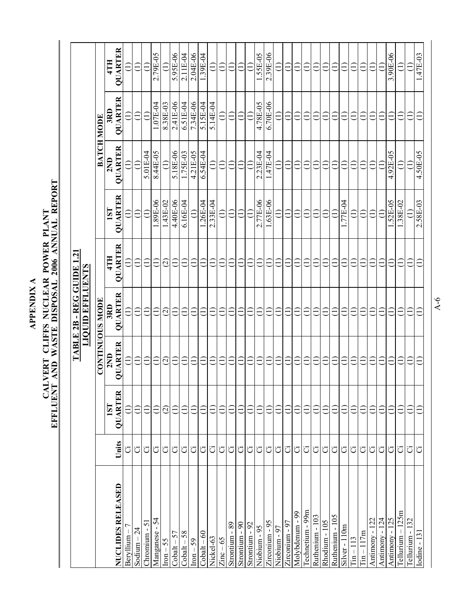**APPENDIX A APPENDIX A** 

# CALVERT CLIFFS NUCLEAR POWER PLANT<br>EFFLUENT AND WASTE DISPOSAL 2006 ANNUAL REPORT **EFFLUENT AND WASTE DISPOSAL 2006 ANNUAL REPORT CALVERT CLIFFS NUCLEAR POWER PLANT**

|                    |                               | TABLE 2B - REG GUIDE 1.21 |                    |                                   |                                    |                                 |                                 |                                     |
|--------------------|-------------------------------|---------------------------|--------------------|-----------------------------------|------------------------------------|---------------------------------|---------------------------------|-------------------------------------|
|                    |                               |                           |                    |                                   |                                    |                                 |                                 |                                     |
|                    | 1ST                           | 2ND                       | 3RD                | 4TH                               | 1ST                                | 2ND                             | 3RD                             | QUARTER<br>4TH                      |
| ö                  |                               | €                         | $\widehat{\Xi}$    | $\widehat{\Xi}$                   |                                    | $\widehat{\equiv}$              | $\widehat{=}$                   | Ξ                                   |
| ö                  | $\widehat{E}$                 | $\widehat{\Xi}$           | $\bigoplus$        | $\widehat{\Xi}$                   | $\widehat{E}$                      | $\ominus$                       | $\widehat{\Xi}$                 | $\widehat{\Xi}$                     |
| Ö                  | €                             | ∈                         | Ξ                  | Ξ                                 | €                                  | 5.01E-04                        | $\widehat{\Xi}$                 | €                                   |
| Ö                  | €                             | €                         | €                  | $\widehat{\Xi}$                   | 1.89E-06                           | 8.44E-05                        | 1.07E-04                        | 2.79E-05                            |
| ö                  | $\widehat{\circ}$             |                           | $\widehat{\circ}$  | $\odot$                           | 1.43E-02                           | $\ominus$                       | 8.38E-03                        | $\widehat{\Xi}$                     |
| Ö                  | €                             | €                         | Ξ                  | €                                 | 4.40E-06                           | 5.18E-06                        | 2.41E-06                        | 5.95E-06                            |
| Ö                  | €                             | €                         | €                  | €                                 | $6.16E-04$                         | 1.75E-03                        | 6.51E-04                        | 2.11E-04                            |
| Ö                  | Ξ                             | Ξ                         | €                  | €                                 | €                                  | 4.21E-05                        | 7.34E-06                        | 2.04E-06                            |
| Ö                  | Ξ                             | Ξ                         | Ξ                  | Ξ                                 | 1.26E-04                           | 6.54E-04                        | 5.15E-04                        | 1.39E-04                            |
| Ö                  | Ξ                             | Ξ                         | Ξ                  | Ξ                                 | 2.33E-04                           | $\widehat{\Xi}$                 | 5.14E-04                        | $\widehat{\equiv}$                  |
| Ö                  | Ξ                             | Ξ                         | Ξ                  | Ξ                                 | $\widehat{\Xi}$                    | $\widehat{\Xi}$                 | $\widehat{\Xi}$                 | $\widehat{\Xi}$                     |
| Ö                  | Ë                             | Ξ                         | Ξ                  |                                   | Ξ                                  | Ξ                               | $\widehat{\Xi}$                 | Ξ                                   |
| Ö                  | E                             | Ë                         | Ξ                  |                                   | Ë                                  | ∈                               | Ξ                               | $\widetilde{\equiv}$                |
| Ö                  | E                             | ∈                         | Ξ                  |                                   |                                    | Ξ                               | €                               |                                     |
| ö                  | €                             | €                         | Ξ                  | Ξ                                 | 2.77E-06                           | 2.23E-04                        | 4.78E-05                        | 1.55E-05                            |
| Ö                  | €                             | €                         | €                  |                                   | 1.63E-06                           |                                 |                                 | 2.39E-06                            |
| Ö                  | ∈                             | €                         | ∈                  |                                   |                                    |                                 | Ξ                               | Ξ                                   |
| ö                  | E                             | ∈                         | $\equiv$           |                                   |                                    | ∈                               | Ξ                               | Ξ                                   |
| $\rm \ddot{\circ}$ | Ξ                             | €                         | Ê                  |                                   |                                    | €                               | Ξ                               | Ξ                                   |
| ö                  | E                             | E                         | Ë                  |                                   |                                    | Ξ                               | Ξ                               | Ê                                   |
| ö                  |                               | Ê                         | Ë                  |                                   |                                    |                                 | Ξ                               |                                     |
| Ö                  |                               |                           |                    |                                   |                                    |                                 | $\overline{\phantom{0}}$        |                                     |
| ö                  |                               |                           |                    |                                   |                                    |                                 | $\overline{\phantom{0}}$        |                                     |
| ö                  |                               |                           |                    |                                   | 77E-04                             |                                 |                                 |                                     |
| Ö                  |                               | €                         |                    |                                   |                                    |                                 |                                 | Ë                                   |
| ö                  |                               |                           |                    |                                   |                                    |                                 | Ξ                               |                                     |
| ö                  | $\overleftarrow{\phantom{a}}$ | $\overline{\mathsf{C}}$   |                    |                                   |                                    |                                 | Ξ                               |                                     |
| ö                  | Ξ                             | $\overline{\phantom{0}}$  |                    |                                   |                                    |                                 | Ξ                               |                                     |
| ΰ                  | Ξ                             | U                         |                    |                                   | 52E-05                             | 4.92E-05                        | E                               | 3.90E-06                            |
|                    | E                             | U                         | Ê                  |                                   |                                    |                                 | Ê                               |                                     |
|                    | Ê                             | こ                         | ∈                  |                                   |                                    |                                 | Ê                               |                                     |
|                    |                               |                           |                    |                                   |                                    |                                 |                                 | .47E-03                             |
|                    | Units<br>ö<br>ö<br>ö          | <b>OUARTER</b>            | QUARTER<br>$\odot$ | QUARTER<br><b>CONTINUOUS MODE</b> | QUARTER<br><b>LIQUID EFFLUENTS</b> | QUARTER<br>1.38E-02<br>2.58E-03 | QUARTER<br>4.50E-05<br>1.47E-04 | QUARTER<br>$6.70E-06$<br>BATCH MODE |

A-6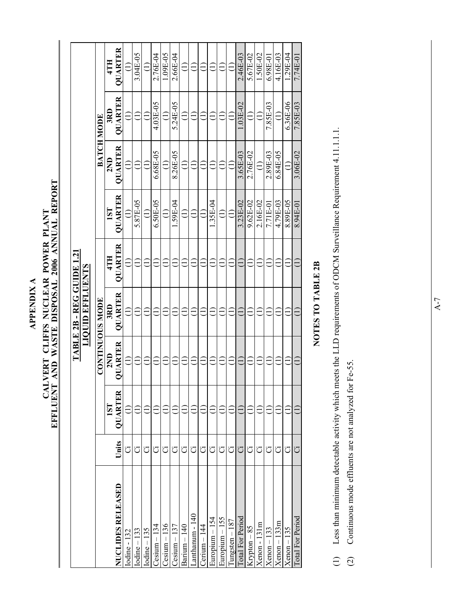**APPENDIX A APPENDIX A** 

# CALVERT CLIFFS NUCLEAR POWER PLANT<br>EFFLUENT AND WASTE DISPOSAL 2006 ANNUAL REPORT **EFFLUENT AND WASTE DISPOSAL 2006 ANNUAL REPORT CALVERT CLIFFS NUCLEAR POWER PLANT**

|                          |       |                |                                 | TABLE 2B - REG GUIDE 1.21<br><b>LIQUID EFFLUENTS</b> |                |                |                   |            |                |
|--------------------------|-------|----------------|---------------------------------|------------------------------------------------------|----------------|----------------|-------------------|------------|----------------|
|                          |       |                |                                 | <b>CONTINUOUS MODE</b>                               |                |                | <b>BATCH MODE</b> |            |                |
|                          |       | <b>IST</b>     | 2ND                             | 3RD                                                  | 4TH            | <b>IST</b>     | 2ND               | 3RD        | 4TH            |
| <b>NUCLIDES RELEASED</b> | Units | <b>OUARTER</b> | QUARTER                         | <b>QUARTER</b>                                       | <b>QUARTER</b> | <b>QUARTER</b> | QUARTER           | QUARTER    | <b>QUARTER</b> |
| lodine - 132             | ö     |                |                                 |                                                      |                |                |                   |            |                |
| $Iodine - 133$           | ö     |                |                                 |                                                      |                | 5.87E-05       |                   |            | 3.04E-05       |
| $Iodine - 135$           | ö     |                |                                 |                                                      |                |                |                   |            |                |
| $Cesium - 134$           | Ö     |                |                                 |                                                      |                | 6.50E-05       | 6.68E-05          | 4.03E-05   | 2.76E-04       |
| $Cesium - 136$           | ö     |                |                                 |                                                      |                |                |                   |            | 1.09E-05       |
| $Cesium - 137$           | ت     |                |                                 |                                                      |                | .59E-04        | 8.26E-05          | 5.24E-05   | 2.66E-04       |
| $Barium - 140$           | ö     |                |                                 |                                                      |                |                |                   |            |                |
| anthanum - 140           | ö     |                |                                 |                                                      |                |                |                   |            |                |
| $Cerium - 144$           | ö     |                |                                 |                                                      |                |                |                   |            |                |
| Europium – 154           | ö     |                |                                 |                                                      |                | 1.35E-04       |                   |            |                |
| Europium - 155           | ö     |                |                                 |                                                      |                |                |                   |            |                |
| $m$ gsten $-187$         | ö     |                |                                 |                                                      |                |                |                   |            |                |
| <b>Total For Period</b>  | Ö     |                |                                 |                                                      |                | 3.23E-02       | 3.65E-03          | $1.03E-02$ | 2.46E-03       |
| Krypton-85               | ت     |                |                                 |                                                      |                | 9.62E-02       | 2.76E-02          |            | 5.67E-02       |
| $Xenon - 131m$           | ö     |                |                                 |                                                      |                | 2.16E-02       |                   |            | 1.50E-02       |
| $Xenon - 133$            | Ö     |                |                                 |                                                      |                | 7.71E-01       | 2.89E-03          | 7.85E-03   | $6.98E-01$     |
| $Xenon - 133m$           | Ö     |                |                                 |                                                      |                | 4.79E-03       | 6.84E-05          |            | 4.16E-03       |
| $Xenon - 135$            | Ö     |                |                                 |                                                      |                | 8.89E-05       |                   | 6.36E-06   | $1.29E-04$     |
| <b>Total For Period</b>  | Ö     |                | $\widehat{\mathord{\sqsubset}}$ | Ξ                                                    |                | 8.94E-01       | 3.06E-02          | 7.85E-03   | 7.74E-01       |
|                          |       |                |                                 |                                                      |                |                |                   |            |                |

### NOTES TO TABLE 2B **NOTES TO TABLE 2B**

- (1) Less than minimum detectable activity which meets the LLD requirements of ODCM Surveillance Requirement 4.11.1.1.1. Less than minimum detectable activity which meets the LLD requirements of ODCM Surveillance Requirement 4.11.1.1.1.  $\begin{array}{c} \square \end{array}$
- (2) Continuous mode effluents are not analyzed for Fe-55. Continuous mode effluents are not analyzed for Fe-55.  $\widehat{c}$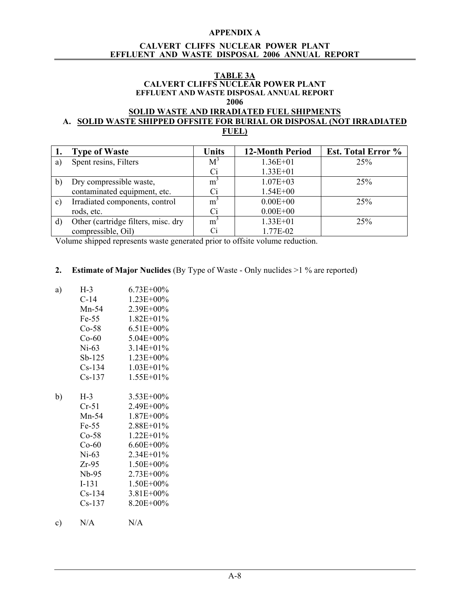### **APPENDIX A**

### **CALVERT CLIFFS NUCLEAR POWER PLANT EFFLUENT AND WASTE DISPOSAL 2006 ANNUAL REPORT**

### **TABLE 3A CALVERT CLIFFS NUCLEAR POWER PLANT EFFLUENT AND WASTE DISPOSAL ANNUAL REPORT 2006**

### **SOLID WASTE AND IRRADIATED FUEL SHIPMENTS A. SOLID WASTE SHIPPED OFFSITE FOR BURIAL OR DISPOSAL (NOT IRRADIATED FUEL)**

| ı.            | <b>Type of Waste</b>                | <b>Units</b>   | <b>12-Month Period</b> | <b>Est. Total Error %</b> |
|---------------|-------------------------------------|----------------|------------------------|---------------------------|
| a)            | Spent resins, Filters               | $M^3$          | $1.36E + 01$           | 25%                       |
|               |                                     | Сi             | $1.33E + 01$           |                           |
| b)            | Dry compressible waste,             | m <sup>3</sup> | $1.07E + 03$           | 25%                       |
|               | contaminated equipment, etc.        | Ci             | $1.54E + 00$           |                           |
| $\mathbf{c})$ | Irradiated components, control      | $m^3$          | $0.00E + 00$           | 25%                       |
|               | rods, etc.                          | Ci             | $0.00E + 00$           |                           |
| d)            | Other (cartridge filters, misc. dry | m <sup>3</sup> | $1.33E + 01$           | 25%                       |
|               | compressible, Oil)                  | Ci             | 1.77E-02               |                           |

Volume shipped represents waste generated prior to offsite volume reduction.

### **2. Estimate of Major Nuclides** (By Type of Waste - Only nuclides >1 % are reported)

| a) | $H-3$    | $6.73E + 00\%$ |
|----|----------|----------------|
|    | C-14     | $1.23E + 00\%$ |
|    | $Mn-54$  | 2.39E+00%      |
|    | Fe-55    | $1.82E + 01\%$ |
|    | $Co-58$  | $6.51E + 00\%$ |
|    | $Co-60$  | 5.04E+00%      |
|    | $Ni-63$  | $3.14E + 01\%$ |
|    | Sb-125   | $1.23E + 00\%$ |
|    | $Cs-134$ | $1.03E + 01\%$ |
|    | $Cs-137$ | $1.55E + 01\%$ |
|    |          |                |
| b) | $H-3$    | 3.53E+00%      |
|    | $Cr-51$  | $2.49E + 00\%$ |
|    | $Mn-54$  | $1.87E + 00\%$ |
|    | Fe-55    | $2.88E + 01\%$ |
|    | $Co-58$  | $1.22E + 01\%$ |
|    | $Co-60$  | $6.60E + 00\%$ |
|    | $Ni-63$  | $2.34E + 01\%$ |
|    | Zr-95    | 1.50E+00%      |
|    | $Nb-95$  | 2.73E+00%      |
|    | $I-131$  | $1.50E + 00\%$ |
|    | $Cs-134$ | $3.81E + 00\%$ |
|    | $Cs-137$ | 8.20E+00%      |
|    |          |                |

c) N/A N/A